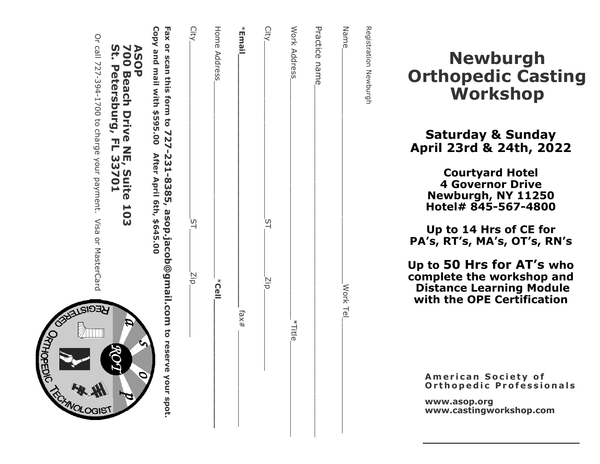| Copy and mail with \$595.00 After April 6th, \$645.00<br>Fax or scan this form to 727-231-8385, asop.jacob@gmail.com to reserve your spot.<br>700 Beach Drive NE, Suite 103<br>St. Petersburg, FL 33701<br><b>ASOP</b><br>ਮੁਤੀ<br>P<br>GIST | City<br>ΣiΡ, | Home Address<br>k<br>Uell | *Email,<br>fax# | City<br>Σip. | Work Address<br>*Title <sub>-</sub> | Practice name | Name<br>Work Tel | Registration Newburgh |
|---------------------------------------------------------------------------------------------------------------------------------------------------------------------------------------------------------------------------------------------|--------------|---------------------------|-----------------|--------------|-------------------------------------|---------------|------------------|-----------------------|
|---------------------------------------------------------------------------------------------------------------------------------------------------------------------------------------------------------------------------------------------|--------------|---------------------------|-----------------|--------------|-------------------------------------|---------------|------------------|-----------------------|

**ALSIO** 

ОЯТНОРЕДІС

# Newburgh Orthopedic Casting Workshop

# Saturday & Sunday April 23rd & 24th, 2022

Courtyard Hotel 4 Governor Drive Newburgh, NY 11250 Hotel# 845 -567 -4800

Up to 14 Hrs of CE for PA's, RT's, MA's, OT's, RN's

Up to 50 Hrs for AT 's who complete the workshop and Distance Learning Module with the OPE Certification

American Society of Orthopedic Professionals

www.asop.org www.castingworkshop.com